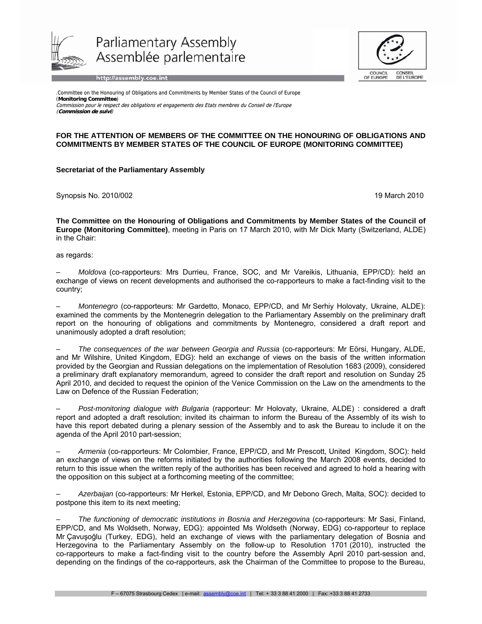

Parliamentary Assembly Assemblée parlementaire

http://assembly.coe.int



.Committee on the Honouring of Obligations and Commitments by Member States of the Council of Europe (**Monitoring Committee**) Commission pour le respect des obligations et engagements des Etats membres du Conseil de l'Europe (**Commission de suivi**)

## **FOR THE ATTENTION OF MEMBERS OF THE COMMITTEE ON THE HONOURING OF OBLIGATIONS AND COMMITMENTS BY MEMBER STATES OF THE COUNCIL OF EUROPE (MONITORING COMMITTEE)**

## **Secretariat of the Parliamentary Assembly**

Synopsis No. 2010/002 19 March 2010 19:00 19:00 19:00 19:00 19:00 19:00 19:00 19:00 19:00 19:00 19:00 19:00 19:00 19:00 19:00 19:00 19:00 19:00 19:00 19:00 19:00 19:00 19:00 19:00 19:00 19:00 19:00 19:00 19:00 19:00 19:00

**The Committee on the Honouring of Obligations and Commitments by Member States of the Council of Europe (Monitoring Committee)**, meeting in Paris on 17 March 2010, with Mr Dick Marty (Switzerland, ALDE) in the Chair:

as regards:

– *Moldova* (co-rapporteurs: Mrs Durrieu, France, SOC, and Mr Vareikis, Lithuania, EPP/CD): held an exchange of views on recent developments and authorised the co-rapporteurs to make a fact-finding visit to the country;

– *Montenegro* (co-rapporteurs: Mr Gardetto, Monaco, EPP/CD, and Mr Serhiy Holovaty, Ukraine, ALDE): examined the comments by the Montenegrin delegation to the Parliamentary Assembly on the preliminary draft report on the honouring of obligations and commitments by Montenegro, considered a draft report and unanimously adopted a draft resolution;

– *The consequences of the war between Georgia and Russia* (co-rapporteurs: Mr Eörsi, Hungary, ALDE, and Mr Wilshire, United Kingdom, EDG): held an exchange of views on the basis of the written information provided by the Georgian and Russian delegations on the implementation of Resolution 1683 (2009), considered a preliminary draft explanatory memorandum, agreed to consider the draft report and resolution on Sunday 25 April 2010, and decided to request the opinion of the Venice Commission on the Law on the amendments to the Law on Defence of the Russian Federation;

– *Post-monitoring dialogue with Bulgaria* (rapporteur: Mr Holovaty, Ukraine, ALDE) : considered a draft report and adopted a draft resolution; invited its chairman to inform the Bureau of the Assembly of its wish to have this report debated during a plenary session of the Assembly and to ask the Bureau to include it on the agenda of the April 2010 part-session;

– *Armenia* (co-rapporteurs: Mr Colombier, France, EPP/CD, and Mr Prescott, United Kingdom, SOC): held an exchange of views on the reforms initiated by the authorities following the March 2008 events, decided to return to this issue when the written reply of the authorities has been received and agreed to hold a hearing with the opposition on this subject at a forthcoming meeting of the committee;

– *Azerbaijan* (co-rapporteurs: Mr Herkel, Estonia, EPP/CD, and Mr Debono Grech, Malta, SOC): decided to postpone this item to its next meeting;

– *The functioning of democratic institutions in Bosnia and Herzegovina* (co-rapporteurs: Mr Sasi, Finland, EPP/CD, and Ms Woldseth, Norway, EDG): appointed Ms Woldseth (Norway, EDG) co-rapporteur to replace Mr Çavuşoğlu (Turkey, EDG), held an exchange of views with the parliamentary delegation of Bosnia and Herzegovina to the Parliamentary Assembly on the follow-up to Resolution 1701 (2010), instructed the co-rapporteurs to make a fact-finding visit to the country before the Assembly April 2010 part-session and, depending on the findings of the co-rapporteurs, ask the Chairman of the Committee to propose to the Bureau,